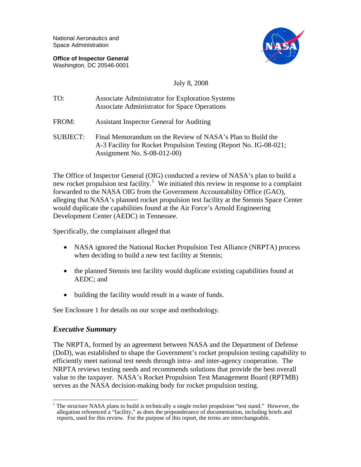National Aeronautics and Space Administration

**Office of Inspector General**  Washington, DC 20546-0001



### July 8, 2008

| TO:             | Associate Administrator for Exploration Systems<br>Associate Administrator for Space Operations                                                                 |
|-----------------|-----------------------------------------------------------------------------------------------------------------------------------------------------------------|
| FROM:           | <b>Assistant Inspector General for Auditing</b>                                                                                                                 |
| <b>SUBJECT:</b> | Final Memorandum on the Review of NASA's Plan to Build the<br>A-3 Facility for Rocket Propulsion Testing (Report No. IG-08-021;<br>Assignment No. $S-08-012-00$ |

The Office of Inspector General (OIG) conducted a review of NASA's plan to build a new rocket propulsion test facility.<sup>[1](#page-0-0)</sup> We initiated this review in response to a complaint forwarded to the NASA OIG from the Government Accountability Office (GAO), alleging that NASA's planned rocket propulsion test facility at the Stennis Space Center would duplicate the capabilities found at the Air Force's Arnold Engineering Development Center (AEDC) in Tennessee.

Specifically, the complainant alleged that

- NASA ignored the National Rocket Propulsion Test Alliance (NRPTA) process when deciding to build a new test facility at Stennis;
- the planned Stennis test facility would duplicate existing capabilities found at AEDC; and
- building the facility would result in a waste of funds.

See Enclosure 1 for details on our scope and methodology.

### *Executive Summary*

The NRPTA, formed by an agreement between NASA and the Department of Defense (DoD), was established to shape the Government's rocket propulsion testing capability to efficiently meet national test needs through intra- and inter-agency cooperation. The NRPTA reviews testing needs and recommends solutions that provide the best overall value to the taxpayer. NASA's Rocket Propulsion Test Management Board (RPTMB) serves as the NASA decision-making body for rocket propulsion testing.

<span id="page-0-0"></span><sup>&</sup>lt;sup>1</sup> The structure NASA plans to build is technically a single rocket propulsion "test stand." However, the allegation referenced a "facility," as does the preponderance of documentation, including briefs and reports, used for this review. For the purpose of this report, the terms are interchangeable.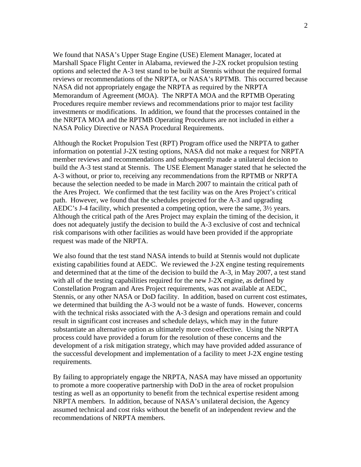We found that NASA's Upper Stage Engine (USE) Element Manager, located at Marshall Space Flight Center in Alabama, reviewed the J-2X rocket propulsion testing options and selected the A-3 test stand to be built at Stennis without the required formal reviews or recommendations of the NRPTA, or NASA's RPTMB. This occurred because NASA did not appropriately engage the NRPTA as required by the NRPTA Memorandum of Agreement (MOA). The NRPTA MOA and the RPTMB Operating Procedures require member reviews and recommendations prior to major test facility investments or modifications. In addition, we found that the processes contained in the the NRPTA MOA and the RPTMB Operating Procedures are not included in either a NASA Policy Directive or NASA Procedural Requirements.

Although the Rocket Propulsion Test (RPT) Program office used the NRPTA to gather information on potential J-2X testing options, NASA did not make a request for NRPTA member reviews and recommendations and subsequently made a unilateral decision to build the A-3 test stand at Stennis. The USE Element Manager stated that he selected the A-3 without, or prior to, receiving any recommendations from the RPTMB or NRPTA because the selection needed to be made in March 2007 to maintain the critical path of the Ares Project. We confirmed that the test facility was on the Ares Project's critical path. However, we found that the schedules projected for the A-3 and upgrading AEDC's J-4 facility, which presented a competing option, were the same, 3½ years. Although the critical path of the Ares Project may explain the timing of the decision, it does not adequately justify the decision to build the A-3 exclusive of cost and technical risk comparisons with other facilities as would have been provided if the appropriate request was made of the NRPTA.

We also found that the test stand NASA intends to build at Stennis would not duplicate existing capabilities found at AEDC. We reviewed the J-2X engine testing requirements and determined that at the time of the decision to build the A-3, in May 2007, a test stand with all of the testing capabilities required for the new J-2X engine, as defined by Constellation Program and Ares Project requirements, was not available at AEDC, Stennis, or any other NASA or DoD facility. In addition, based on current cost estimates, we determined that building the A-3 would not be a waste of funds. However, concerns with the technical risks associated with the A-3 design and operations remain and could result in significant cost increases and schedule delays, which may in the future substantiate an alternative option as ultimately more cost-effective. Using the NRPTA process could have provided a forum for the resolution of these concerns and the development of a risk mitigation strategy, which may have provided added assurance of the successful development and implementation of a facility to meet J-2X engine testing requirements.

By failing to appropriately engage the NRPTA, NASA may have missed an opportunity to promote a more cooperative partnership with DoD in the area of rocket propulsion testing as well as an opportunity to benefit from the technical expertise resident among NRPTA members. In addition, because of NASA's unilateral decision, the Agency assumed technical and cost risks without the benefit of an independent review and the recommendations of NRPTA members.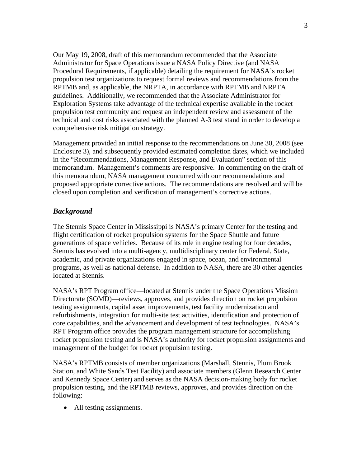Our May 19, 2008, draft of this memorandum recommended that the Associate Administrator for Space Operations issue a NASA Policy Directive (and NASA Procedural Requirements, if applicable) detailing the requirement for NASA's rocket propulsion test organizations to request formal reviews and recommendations from the RPTMB and, as applicable, the NRPTA, in accordance with RPTMB and NRPTA guidelines. Additionally, we recommended that the Associate Administrator for Exploration Systems take advantage of the technical expertise available in the rocket propulsion test community and request an independent review and assessment of the technical and cost risks associated with the planned A-3 test stand in order to develop a comprehensive risk mitigation strategy.

Management provided an initial response to the recommendations on June 30, 2008 (see Enclosure 3), and subsequently provided estimated completion dates, which we included in the "Recommendations, Management Response, and Evaluation" section of this memorandum. Management's comments are responsive. In commenting on the draft of this memorandum, NASA management concurred with our recommendations and proposed appropriate corrective actions. The recommendations are resolved and will be closed upon completion and verification of management's corrective actions.

### *Background*

The Stennis Space Center in Mississippi is NASA's primary Center for the testing and flight certification of rocket propulsion systems for the Space Shuttle and future generations of space vehicles. Because of its role in engine testing for four decades, Stennis has evolved into a multi-agency, multidisciplinary center for Federal, State, academic, and private organizations engaged in space, ocean, and environmental programs, as well as national defense. In addition to NASA, there are 30 other agencies located at Stennis.

NASA's RPT Program office—located at Stennis under the Space Operations Mission Directorate (SOMD)—reviews, approves, and provides direction on rocket propulsion testing assignments, capital asset improvements, test facility modernization and refurbishments, integration for multi-site test activities, identification and protection of core capabilities, and the advancement and development of test technologies. NASA's RPT Program office provides the program management structure for accomplishing rocket propulsion testing and is NASA's authority for rocket propulsion assignments and management of the budget for rocket propulsion testing.

NASA's RPTMB consists of member organizations (Marshall, Stennis, Plum Brook Station, and White Sands Test Facility) and associate members (Glenn Research Center and Kennedy Space Center) and serves as the NASA decision-making body for rocket propulsion testing, and the RPTMB reviews, approves, and provides direction on the following:

• All testing assignments.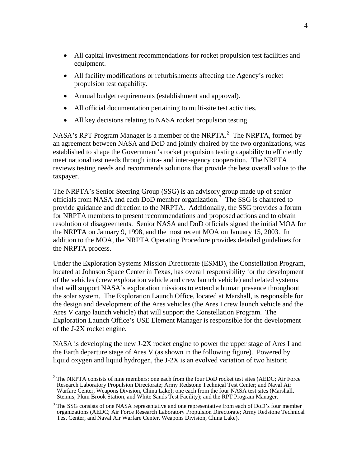- All capital investment recommendations for rocket propulsion test facilities and equipment.
- All facility modifications or refurbishments affecting the Agency's rocket propulsion test capability.
- Annual budget requirements (establishment and approval).
- All official documentation pertaining to multi-site test activities.
- All key decisions relating to NASA rocket propulsion testing.

NASA's RPT Program Manager is a member of the NRPTA.<sup>[2](#page-3-0)</sup> The NRPTA, formed by an agreement between NASA and DoD and jointly chaired by the two organizations, was established to shape the Government's rocket propulsion testing capability to efficiently meet national test needs through intra- and inter-agency cooperation. The NRPTA reviews testing needs and recommends solutions that provide the best overall value to the taxpayer.

The NRPTA's Senior Steering Group (SSG) is an advisory group made up of senior officials from NASA and each DoD member organization.[3](#page-3-1) The SSG is chartered to provide guidance and direction to the NRPTA. Additionally, the SSG provides a forum for NRPTA members to present recommendations and proposed actions and to obtain resolution of disagreements. Senior NASA and DoD officials signed the initial MOA for the NRPTA on January 9, 1998, and the most recent MOA on January 15, 2003. In addition to the MOA, the NRPTA Operating Procedure provides detailed guidelines for the NRPTA process.

Under the Exploration Systems Mission Directorate (ESMD), the Constellation Program, located at Johnson Space Center in Texas, has overall responsibility for the development of the vehicles (crew exploration vehicle and crew launch vehicle) and related systems that will support NASA's exploration missions to extend a human presence throughout the solar system. The Exploration Launch Office, located at Marshall, is responsible for the design and development of the Ares vehicles (the Ares I crew launch vehicle and the Ares V cargo launch vehicle) that will support the Constellation Program. The Exploration Launch Office's USE Element Manager is responsible for the development of the J-2X rocket engine.

NASA is developing the new J-2X rocket engine to power the upper stage of Ares I and the Earth departure stage of Ares V (as shown in the following figure). Powered by liquid oxygen and liquid hydrogen, the J-2X is an evolved variation of two historic

<span id="page-3-0"></span><sup>&</sup>lt;sup>2</sup> The NRPTA consists of nine members: one each from the four DoD rocket test sites (AEDC; Air Force Research Laboratory Propulsion Directorate; Army Redstone Technical Test Center; and Naval Air Warfare Center, Weapons Division, China Lake); one each from the four NASA test sites (Marshall, Stennis, Plum Brook Station, and White Sands Test Facility); and the RPT Program Manager.

<span id="page-3-1"></span><sup>&</sup>lt;sup>3</sup> The SSG consists of one NASA representative and one representative from each of DoD's four member organizations (AEDC; Air Force Research Laboratory Propulsion Directorate; Army Redstone Technical Test Center; and Naval Air Warfare Center, Weapons Division, China Lake).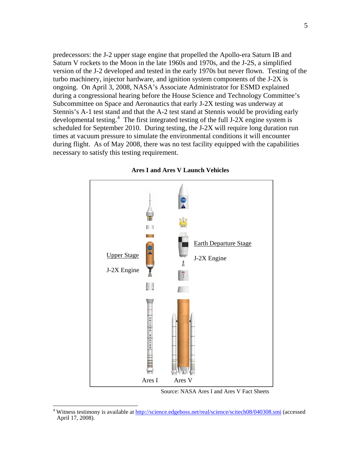predecessors: the J-2 upper stage engine that propelled the Apollo-era Saturn IB and Saturn V rockets to the Moon in the late 1960s and 1970s, and the J-2S, a simplified version of the J-2 developed and tested in the early 1970s but never flown. Testing of the turbo machinery, injector hardware, and ignition system components of the J-2X is ongoing. On April 3, 2008, NASA's Associate Administrator for ESMD explained during a congressional hearing before the House Science and Technology Committee's Subcommittee on Space and Aeronautics that early J-2X testing was underway at Stennis's A-1 test stand and that the A-2 test stand at Stennis would be providing early developmental testing.<sup>[4](#page-4-0)</sup> The first integrated testing of the full J-2X engine system is scheduled for September 2010. During testing, the J-2X will require long duration run times at vacuum pressure to simulate the environmental conditions it will encounter during flight. As of May 2008, there was no test facility equipped with the capabilities necessary to satisfy this testing requirement.



#### **Ares I and Ares V Launch Vehicles**

Source: NASA Ares I and Ares V Fact Sheets

<span id="page-4-0"></span> 4 Witness testimony is available at <http://science.edgeboss.net/real/science/scitech08/040308.smi> (accessed April 17, 2008).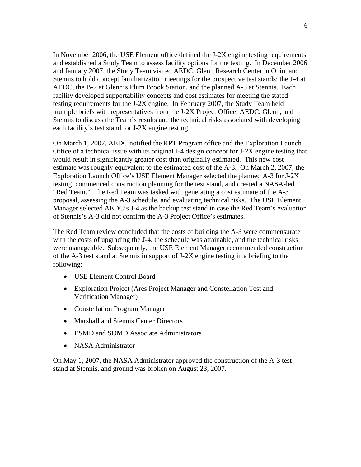In November 2006, the USE Element office defined the J-2X engine testing requirements and established a Study Team to assess facility options for the testing. In December 2006 and January 2007, the Study Team visited AEDC, Glenn Research Center in Ohio, and Stennis to hold concept familiarization meetings for the prospective test stands: the J-4 at AEDC, the B-2 at Glenn's Plum Brook Station, and the planned A-3 at Stennis. Each facility developed supportability concepts and cost estimates for meeting the stated testing requirements for the J-2X engine. In February 2007, the Study Team held multiple briefs with representatives from the J-2X Project Office, AEDC, Glenn, and Stennis to discuss the Team's results and the technical risks associated with developing each facility's test stand for J-2X engine testing.

On March 1, 2007, AEDC notified the RPT Program office and the Exploration Launch Office of a technical issue with its original J-4 design concept for J-2X engine testing that would result in significantly greater cost than originally estimated. This new cost estimate was roughly equivalent to the estimated cost of the A-3. On March 2, 2007, the Exploration Launch Office's USE Element Manager selected the planned A-3 for J-2X testing, commenced construction planning for the test stand, and created a NASA-led "Red Team." The Red Team was tasked with generating a cost estimate of the A-3 proposal, assessing the A-3 schedule, and evaluating technical risks. The USE Element Manager selected AEDC's J-4 as the backup test stand in case the Red Team's evaluation of Stennis's A-3 did not confirm the A-3 Project Office's estimates.

The Red Team review concluded that the costs of building the A-3 were commensurate with the costs of upgrading the J-4, the schedule was attainable, and the technical risks were manageable. Subsequently, the USE Element Manager recommended construction of the A-3 test stand at Stennis in support of J-2X engine testing in a briefing to the following:

- USE Element Control Board
- Exploration Project (Ares Project Manager and Constellation Test and Verification Manager)
- Constellation Program Manager
- Marshall and Stennis Center Directors
- ESMD and SOMD Associate Administrators
- NASA Administrator

On May 1, 2007, the NASA Administrator approved the construction of the A-3 test stand at Stennis, and ground was broken on August 23, 2007.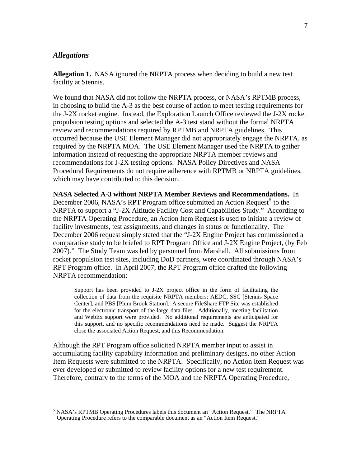### *Allegations*

**Allegation 1.** NASA ignored the NRPTA process when deciding to build a new test facility at Stennis.

We found that NASA did not follow the NRPTA process, or NASA's RPTMB process, in choosing to build the A-3 as the best course of action to meet testing requirements for the J-2X rocket engine. Instead, the Exploration Launch Office reviewed the J-2X rocket propulsion testing options and selected the A-3 test stand without the formal NRPTA review and recommendations required by RPTMB and NRPTA guidelines. This occurred because the USE Element Manager did not appropriately engage the NRPTA, as required by the NRPTA MOA. The USE Element Manager used the NRPTA to gather information instead of requesting the appropriate NRPTA member reviews and recommendations for J-2X testing options. NASA Policy Directives and NASA Procedural Requirements do not require adherence with RPTMB or NRPTA guidelines, which may have contributed to this decision.

**NASA Selected A-3 without NRPTA Member Reviews and Recommendations.** In December 2006, NASA's RPT Program office submitted an Action Request<sup>[5](#page-6-0)</sup> to the NRPTA to support a "J-2X Altitude Facility Cost and Capabilities Study." According to the NRPTA Operating Procedure, an Action Item Request is used to initiate a review of facility investments, test assignments, and changes in status or functionality. The December 2006 request simply stated that the "J-2X Engine Project has commissioned a comparative study to be briefed to RPT Program Office and J-2X Engine Project, (by Feb 2007)." The Study Team was led by personnel from Marshall. All submissions from rocket propulsion test sites, including DoD partners, were coordinated through NASA's RPT Program office. In April 2007, the RPT Program office drafted the following NRPTA recommendation:

Support has been provided to J-2X project office in the form of facilitating the collection of data from the requisite NRPTA members: AEDC, SSC [Stennis Space Center], and PBS [Plum Brook Station]. A secure FileShare FTP Site was established for the electronic transport of the large data files. Additionally, meeting facilitation and WebEx support were provided. No additional requirements are anticipated for this support, and no specific recommendations need be made. Suggest the NRPTA close the associated Action Request, and this Recommendation.

Although the RPT Program office solicited NRPTA member input to assist in accumulating facility capability information and preliminary designs, no other Action Item Requests were submitted to the NRPTA. Specifically, no Action Item Request was ever developed or submitted to review facility options for a new test requirement. Therefore, contrary to the terms of the MOA and the NRPTA Operating Procedure,

<span id="page-6-0"></span><sup>&</sup>lt;sup>5</sup> NASA's RPTMB Operating Procedures labels this document an "Action Request." The NRPTA Operating Procedure refers to the comparable document as an "Action Item Request."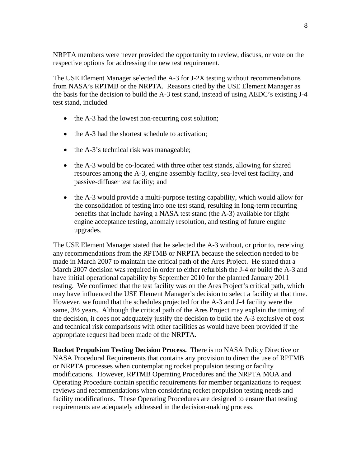NRPTA members were never provided the opportunity to review, discuss, or vote on the respective options for addressing the new test requirement.

The USE Element Manager selected the A-3 for J-2X testing without recommendations from NASA's RPTMB or the NRPTA. Reasons cited by the USE Element Manager as the basis for the decision to build the A-3 test stand, instead of using AEDC's existing J-4 test stand, included

- the A-3 had the lowest non-recurring cost solution;
- the A-3 had the shortest schedule to activation:
- the A-3's technical risk was manageable;
- the A-3 would be co-located with three other test stands, allowing for shared resources among the A-3, engine assembly facility, sea-level test facility, and passive-diffuser test facility; and
- the A-3 would provide a multi-purpose testing capability, which would allow for the consolidation of testing into one test stand, resulting in long-term recurring benefits that include having a NASA test stand (the A-3) available for flight engine acceptance testing, anomaly resolution, and testing of future engine upgrades.

The USE Element Manager stated that he selected the A-3 without, or prior to, receiving any recommendations from the RPTMB or NRPTA because the selection needed to be made in March 2007 to maintain the critical path of the Ares Project. He stated that a March 2007 decision was required in order to either refurbish the J-4 or build the A-3 and have initial operational capability by September 2010 for the planned January 2011 testing. We confirmed that the test facility was on the Ares Project's critical path, which may have influenced the USE Element Manager's decision to select a facility at that time. However, we found that the schedules projected for the A-3 and J-4 facility were the same, 3½ years. Although the critical path of the Ares Project may explain the timing of the decision, it does not adequately justify the decision to build the A-3 exclusive of cost and technical risk comparisons with other facilities as would have been provided if the appropriate request had been made of the NRPTA.

**Rocket Propulsion Testing Decision Process.** There is no NASA Policy Directive or NASA Procedural Requirements that contains any provision to direct the use of RPTMB or NRPTA processes when contemplating rocket propulsion testing or facility modifications. However, RPTMB Operating Procedures and the NRPTA MOA and Operating Procedure contain specific requirements for member organizations to request reviews and recommendations when considering rocket propulsion testing needs and facility modifications. These Operating Procedures are designed to ensure that testing requirements are adequately addressed in the decision-making process.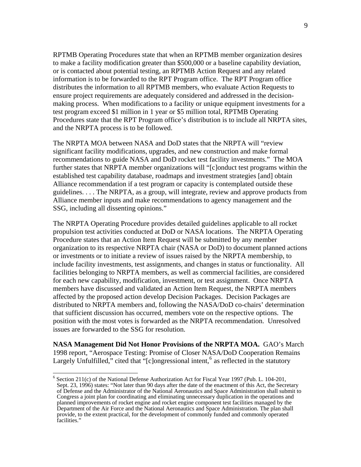RPTMB Operating Procedures state that when an RPTMB member organization desires to make a facility modification greater than \$500,000 or a baseline capability deviation, or is contacted about potential testing, an RPTMB Action Request and any related information is to be forwarded to the RPT Program office. The RPT Program office distributes the information to all RPTMB members, who evaluate Action Requests to ensure project requirements are adequately considered and addressed in the decisionmaking process. When modifications to a facility or unique equipment investments for a test program exceed \$1 million in 1 year or \$5 million total, RPTMB Operating Procedures state that the RPT Program office's distribution is to include all NRPTA sites, and the NRPTA process is to be followed.

The NRPTA MOA between NASA and DoD states that the NRPTA will "review significant facility modifications, upgrades, and new construction and make formal recommendations to guide NASA and DoD rocket test facility investments." The MOA further states that NRPTA member organizations will "[c]onduct test programs within the established test capability database, roadmaps and investment strategies [and] obtain Alliance recommendation if a test program or capacity is contemplated outside these guidelines. . . . The NRPTA, as a group, will integrate, review and approve products from Alliance member inputs and make recommendations to agency management and the SSG, including all dissenting opinions."

The NRPTA Operating Procedure provides detailed guidelines applicable to all rocket propulsion test activities conducted at DoD or NASA locations. The NRPTA Operating Procedure states that an Action Item Request will be submitted by any member organization to its respective NRPTA chair (NASA or DoD) to document planned actions or investments or to initiate a review of issues raised by the NRPTA membership, to include facility investments, test assignments, and changes in status or functionality. All facilities belonging to NRPTA members, as well as commercial facilities, are considered for each new capability, modification, investment, or test assignment. Once NRPTA members have discussed and validated an Action Item Request, the NRPTA members affected by the proposed action develop Decision Packages. Decision Packages are distributed to NRPTA members and, following the NASA/DoD co-chairs' determination that sufficient discussion has occurred, members vote on the respective options. The position with the most votes is forwarded as the NRPTA recommendation. Unresolved issues are forwarded to the SSG for resolution.

**NASA Management Did Not Honor Provisions of the NRPTA MOA.** GAO's March 1998 report, "Aerospace Testing: Promise of Closer NASA/DoD Cooperation Remains Largely Unfulfilled," cited that "[c]ongressional intent,  $6$  as reflected in the statutory

 $\overline{\phantom{a}}$ 

<span id="page-8-0"></span><sup>&</sup>lt;sup>6</sup> Section 211(c) of the National Defense Authorization Act for Fiscal Year 1997 (Pub. L. 104-201, Sept. 23, 1996) states: "Not later than 90 days after the date of the enactment of this Act, the Secretary of Defense and the Administrator of the National Aeronautics and Space Administration shall submit to Congress a joint plan for coordinating and eliminating unnecessary duplication in the operations and planned improvements of rocket engine and rocket engine component test facilities managed by the Department of the Air Force and the National Aeronautics and Space Administration. The plan shall provide, to the extent practical, for the development of commonly funded and commonly operated facilities.'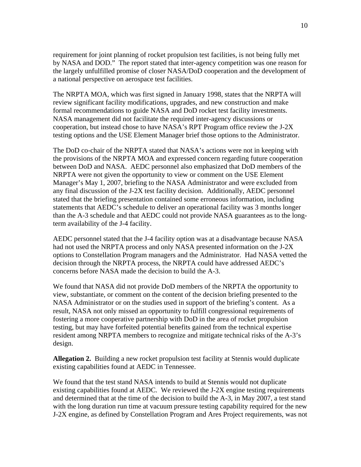requirement for joint planning of rocket propulsion test facilities, is not being fully met by NASA and DOD." The report stated that inter-agency competition was one reason for the largely unfulfilled promise of closer NASA/DoD cooperation and the development of a national perspective on aerospace test facilities.

The NRPTA MOA, which was first signed in January 1998, states that the NRPTA will review significant facility modifications, upgrades, and new construction and make formal recommendations to guide NASA and DoD rocket test facility investments. NASA management did not facilitate the required inter-agency discussions or cooperation, but instead chose to have NASA's RPT Program office review the J-2X testing options and the USE Element Manager brief those options to the Administrator.

The DoD co-chair of the NRPTA stated that NASA's actions were not in keeping with the provisions of the NRPTA MOA and expressed concern regarding future cooperation between DoD and NASA. AEDC personnel also emphasized that DoD members of the NRPTA were not given the opportunity to view or comment on the USE Element Manager's May 1, 2007, briefing to the NASA Administrator and were excluded from any final discussion of the J-2X test facility decision. Additionally, AEDC personnel stated that the briefing presentation contained some erroneous information, including statements that AEDC's schedule to deliver an operational facility was 3 months longer than the A-3 schedule and that AEDC could not provide NASA guarantees as to the longterm availability of the J-4 facility.

AEDC personnel stated that the J-4 facility option was at a disadvantage because NASA had not used the NRPTA process and only NASA presented information on the J-2X options to Constellation Program managers and the Administrator. Had NASA vetted the decision through the NRPTA process, the NRPTA could have addressed AEDC's concerns before NASA made the decision to build the A-3.

We found that NASA did not provide DoD members of the NRPTA the opportunity to view, substantiate, or comment on the content of the decision briefing presented to the NASA Administrator or on the studies used in support of the briefing's content. As a result, NASA not only missed an opportunity to fulfill congressional requirements of fostering a more cooperative partnership with DoD in the area of rocket propulsion testing, but may have forfeited potential benefits gained from the technical expertise resident among NRPTA members to recognize and mitigate technical risks of the A-3's design.

**Allegation 2.** Building a new rocket propulsion test facility at Stennis would duplicate existing capabilities found at AEDC in Tennessee.

We found that the test stand NASA intends to build at Stennis would not duplicate existing capabilities found at AEDC. We reviewed the J-2X engine testing requirements and determined that at the time of the decision to build the A-3, in May 2007, a test stand with the long duration run time at vacuum pressure testing capability required for the new J-2X engine, as defined by Constellation Program and Ares Project requirements, was not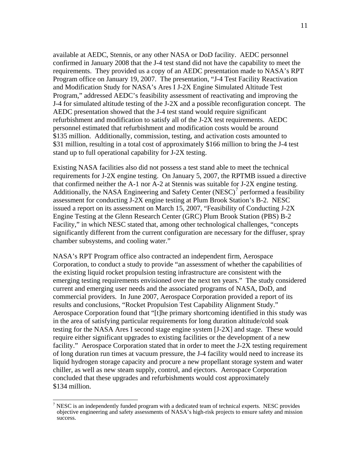available at AEDC, Stennis, or any other NASA or DoD facility. AEDC personnel confirmed in January 2008 that the J-4 test stand did not have the capability to meet the requirements. They provided us a copy of an AEDC presentation made to NASA's RPT Program office on January 19, 2007. The presentation, "J-4 Test Facility Reactivation and Modification Study for NASA's Ares I J-2X Engine Simulated Altitude Test Program," addressed AEDC's feasibility assessment of reactivating and improving the J-4 for simulated altitude testing of the J-2X and a possible reconfiguration concept. The AEDC presentation showed that the J-4 test stand would require significant refurbishment and modification to satisfy all of the J-2X test requirements. AEDC personnel estimated that refurbishment and modification costs would be around \$135 million. Additionally, commission, testing, and activation costs amounted to \$31 million, resulting in a total cost of approximately \$166 million to bring the J-4 test stand up to full operational capability for J-2X testing.

Existing NASA facilities also did not possess a test stand able to meet the technical requirements for J-2X engine testing. On January 5, 2007, the RPTMB issued a directive that confirmed neither the A-1 nor A-2 at Stennis was suitable for J-2X engine testing. Additionally, the NASA Engineering and Safety Center (NESC)<sup>[7](#page-10-0)</sup> performed a feasibility assessment for conducting J-2X engine testing at Plum Brook Station's B-2. NESC issued a report on its assessment on March 15, 2007, "Feasibility of Conducting J-2X Engine Testing at the Glenn Research Center (GRC) Plum Brook Station (PBS) B-2 Facility," in which NESC stated that, among other technological challenges, "concepts significantly different from the current configuration are necessary for the diffuser, spray chamber subsystems, and cooling water."

NASA's RPT Program office also contracted an independent firm, Aerospace Corporation, to conduct a study to provide "an assessment of whether the capabilities of the existing liquid rocket propulsion testing infrastructure are consistent with the emerging testing requirements envisioned over the next ten years." The study considered current and emerging user needs and the associated programs of NASA, DoD, and commercial providers. In June 2007, Aerospace Corporation provided a report of its results and conclusions, "Rocket Propulsion Test Capability Alignment Study." Aerospace Corporation found that "[t]he primary shortcoming identified in this study was in the area of satisfying particular requirements for long duration altitude/cold soak testing for the NASA Ares I second stage engine system [J-2X] and stage. These would require either significant upgrades to existing facilities or the development of a new facility." Aerospace Corporation stated that in order to meet the J-2X testing requirement of long duration run times at vacuum pressure, the J-4 facility would need to increase its liquid hydrogen storage capacity and procure a new propellant storage system and water chiller, as well as new steam supply, control, and ejectors. Aerospace Corporation concluded that these upgrades and refurbishments would cost approximately \$134 million.

<span id="page-10-0"></span><sup>&</sup>lt;sup>7</sup> NESC is an independently funded program with a dedicated team of technical experts. NESC provides objective engineering and safety assessments of NASA's high-risk projects to ensure safety and mission success.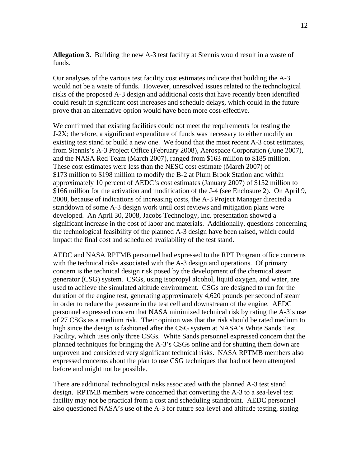**Allegation 3.** Building the new A-3 test facility at Stennis would result in a waste of funds.

Our analyses of the various test facility cost estimates indicate that building the A-3 would not be a waste of funds. However, unresolved issues related to the technological risks of the proposed A-3 design and additional costs that have recently been identified could result in significant cost increases and schedule delays, which could in the future prove that an alternative option would have been more cost-effective.

We confirmed that existing facilities could not meet the requirements for testing the J-2X; therefore, a significant expenditure of funds was necessary to either modify an existing test stand or build a new one. We found that the most recent A-3 cost estimates, from Stennis's A-3 Project Office (February 2008), Aerospace Corporation (June 2007), and the NASA Red Team (March 2007), ranged from \$163 million to \$185 million. These cost estimates were less than the NESC cost estimate (March 2007) of \$173 million to \$198 million to modify the B-2 at Plum Brook Station and within approximately 10 percent of AEDC's cost estimates (January 2007) of \$152 million to \$166 million for the activation and modification of the J-4 (see Enclosure 2). On April 9, 2008, because of indications of increasing costs, the A-3 Project Manager directed a standdown of some A-3 design work until cost reviews and mitigation plans were developed. An April 30, 2008, Jacobs Technology, Inc. presentation showed a significant increase in the cost of labor and materials. Additionally, questions concerning the technological feasibility of the planned A-3 design have been raised, which could impact the final cost and scheduled availability of the test stand.

AEDC and NASA RPTMB personnel had expressed to the RPT Program office concerns with the technical risks associated with the A-3 design and operations. Of primary concern is the technical design risk posed by the development of the chemical steam generator (CSG) system. CSGs, using isopropyl alcohol, liquid oxygen, and water, are used to achieve the simulated altitude environment. CSGs are designed to run for the duration of the engine test, generating approximately 4,620 pounds per second of steam in order to reduce the pressure in the test cell and downstream of the engine. AEDC personnel expressed concern that NASA minimized technical risk by rating the A-3's use of 27 CSGs as a medium risk. Their opinion was that the risk should be rated medium to high since the design is fashioned after the CSG system at NASA's White Sands Test Facility, which uses only three CSGs. White Sands personnel expressed concern that the planned techniques for bringing the A-3's CSGs online and for shutting them down are unproven and considered very significant technical risks. NASA RPTMB members also expressed concerns about the plan to use CSG techniques that had not been attempted before and might not be possible.

There are additional technological risks associated with the planned A-3 test stand design. RPTMB members were concerned that converting the A-3 to a sea-level test facility may not be practical from a cost and scheduling standpoint. AEDC personnel also questioned NASA's use of the A-3 for future sea-level and altitude testing, stating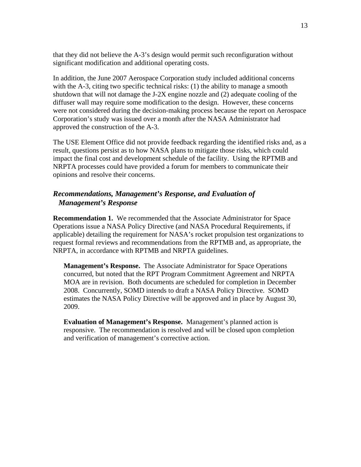that they did not believe the A-3's design would permit such reconfiguration without significant modification and additional operating costs.

In addition, the June 2007 Aerospace Corporation study included additional concerns with the A-3, citing two specific technical risks: (1) the ability to manage a smooth shutdown that will not damage the J-2X engine nozzle and (2) adequate cooling of the diffuser wall may require some modification to the design. However, these concerns were not considered during the decision-making process because the report on Aerospace Corporation's study was issued over a month after the NASA Administrator had approved the construction of the A-3.

The USE Element Office did not provide feedback regarding the identified risks and, as a result, questions persist as to how NASA plans to mitigate those risks, which could impact the final cost and development schedule of the facility. Using the RPTMB and NRPTA processes could have provided a forum for members to communicate their opinions and resolve their concerns.

### *Recommendations, Management's Response, and Evaluation of Management's Response*

**Recommendation 1.** We recommended that the Associate Administrator for Space Operations issue a NASA Policy Directive (and NASA Procedural Requirements, if applicable) detailing the requirement for NASA's rocket propulsion test organizations to request formal reviews and recommendations from the RPTMB and, as appropriate, the NRPTA, in accordance with RPTMB and NRPTA guidelines.

**Management's Response.** The Associate Administrator for Space Operations concurred, but noted that the RPT Program Commitment Agreement and NRPTA MOA are in revision. Both documents are scheduled for completion in December 2008. Concurrently, SOMD intends to draft a NASA Policy Directive. SOMD estimates the NASA Policy Directive will be approved and in place by August 30, 2009.

**Evaluation of Management's Response.** Management's planned action is responsive. The recommendation is resolved and will be closed upon completion and verification of management's corrective action.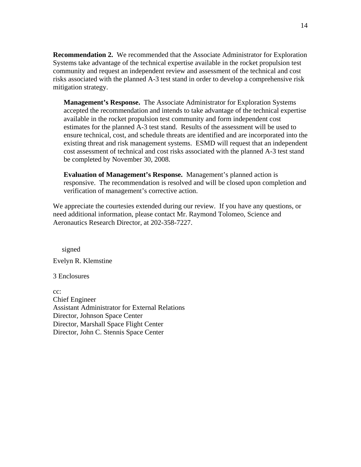**Recommendation 2.** We recommended that the Associate Administrator for Exploration Systems take advantage of the technical expertise available in the rocket propulsion test community and request an independent review and assessment of the technical and cost risks associated with the planned A-3 test stand in order to develop a comprehensive risk mitigation strategy.

**Management's Response.** The Associate Administrator for Exploration Systems accepted the recommendation and intends to take advantage of the technical expertise available in the rocket propulsion test community and form independent cost estimates for the planned A-3 test stand. Results of the assessment will be used to ensure technical, cost, and schedule threats are identified and are incorporated into the existing threat and risk management systems. ESMD will request that an independent cost assessment of technical and cost risks associated with the planned A-3 test stand be completed by November 30, 2008.

**Evaluation of Management's Response.** Management's planned action is responsive. The recommendation is resolved and will be closed upon completion and verification of management's corrective action.

We appreciate the courtesies extended during our review. If you have any questions, or need additional information, please contact Mr. Raymond Tolomeo, Science and Aeronautics Research Director, at 202-358-7227.

signed

Evelyn R. Klemstine

3 Enclosures

cc: Chief Engineer Assistant Administrator for External Relations Director, Johnson Space Center Director, Marshall Space Flight Center Director, John C. Stennis Space Center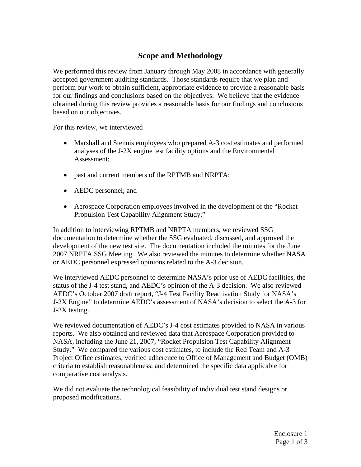# **Scope and Methodology**

We performed this review from January through May 2008 in accordance with generally accepted government auditing standards. Those standards require that we plan and perform our work to obtain sufficient, appropriate evidence to provide a reasonable basis for our findings and conclusions based on the objectives. We believe that the evidence obtained during this review provides a reasonable basis for our findings and conclusions based on our objectives.

For this review, we interviewed

- Marshall and Stennis employees who prepared A-3 cost estimates and performed analyses of the J-2X engine test facility options and the Environmental Assessment;
- past and current members of the RPTMB and NRPTA;
- AEDC personnel; and
- Aerospace Corporation employees involved in the development of the "Rocket Propulsion Test Capability Alignment Study."

In addition to interviewing RPTMB and NRPTA members, we reviewed SSG documentation to determine whether the SSG evaluated, discussed, and approved the development of the new test site. The documentation included the minutes for the June 2007 NRPTA SSG Meeting. We also reviewed the minutes to determine whether NASA or AEDC personnel expressed opinions related to the A-3 decision.

We interviewed AEDC personnel to determine NASA's prior use of AEDC facilities, the status of the J-4 test stand, and AEDC's opinion of the A-3 decision. We also reviewed AEDC's October 2007 draft report, "J-4 Test Facility Reactivation Study for NASA's J-2X Engine" to determine AEDC's assessment of NASA's decision to select the A-3 for J-2X testing.

We reviewed documentation of AEDC's J-4 cost estimates provided to NASA in various reports. We also obtained and reviewed data that Aerospace Corporation provided to NASA, including the June 21, 2007, "Rocket Propulsion Test Capability Alignment Study." We compared the various cost estimates, to include the Red Team and A-3 Project Office estimates; verified adherence to Office of Management and Budget (OMB) criteria to establish reasonableness; and determined the specific data applicable for comparative cost analysis.

We did not evaluate the technological feasibility of individual test stand designs or proposed modifications.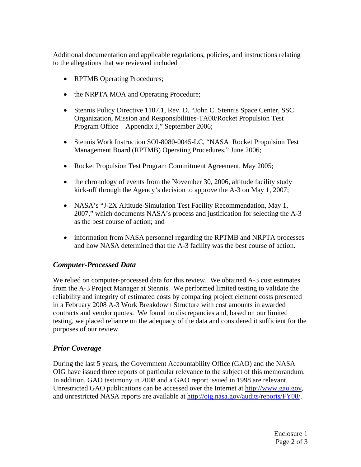Additional documentation and applicable regulations, policies, and instructions relating to the allegations that we reviewed included

- RPTMB Operating Procedures;
- the NRPTA MOA and Operating Procedure;
- Stennis Policy Directive 1107.1, Rev. D, "John C. Stennis Space Center, SSC Organization, Mission and Responsibilities-TA00/Rocket Propulsion Test Program Office – Appendix J," September 2006;
- Stennis Work Instruction SOI-8080-0045-LC, "NASA Rocket Propulsion Test Management Board (RPTMB) Operating Procedures," June 2006;
- Rocket Propulsion Test Program Commitment Agreement, May 2005;
- the chronology of events from the November 30, 2006, altitude facility study kick-off through the Agency's decision to approve the A-3 on May 1, 2007;
- NASA's "J-2X Altitude-Simulation Test Facility Recommendation, May 1, 2007," which documents NASA's process and justification for selecting the A-3 as the best course of action; and
- information from NASA personnel regarding the RPTMB and NRPTA processes and how NASA determined that the A-3 facility was the best course of action.

# *Computer-Processed Data*

We relied on computer-processed data for this review. We obtained A-3 cost estimates from the A-3 Project Manager at Stennis. We performed limited testing to validate the reliability and integrity of estimated costs by comparing project element costs presented in a February 2008 A-3 Work Breakdown Structure with cost amounts in awarded contracts and vendor quotes. We found no discrepancies and, based on our limited testing, we placed reliance on the adequacy of the data and considered it sufficient for the purposes of our review.

# *Prior Coverage*

During the last 5 years, the Government Accountability Office (GAO) and the NASA OIG have issued three reports of particular relevance to the subject of this memorandum. In addition, GAO testimony in 2008 and a GAO report issued in 1998 are relevant. Unrestricted GAO publications can be accessed over the Internet at [http://www.gao.gov,](http://www.gao.gov/) and unrestricted NASA reports are available at [http://oig.nasa.gov/audits/reports/FY08/.](http://oig.nasa.gov/audits/reports/FY08/)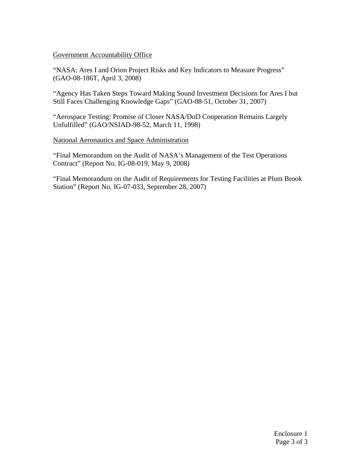### Government Accountability Office

"NASA: Ares I and Orion Project Risks and Key Indicators to Measure Progress" (GAO-08-186T, April 3, 2008)

"Agency Has Taken Steps Toward Making Sound Investment Decisions for Ares I but Still Faces Challenging Knowledge Gaps" (GAO-08-51, October 31, 2007)

"Aerospace Testing: Promise of Closer NASA/DoD Cooperation Remains Largely Unfulfilled" (GAO/NSIAD-98-52, March 11, 1998)

National Aeronautics and Space Administration

"Final Memorandum on the Audit of NASA's Management of the Test Operations Contract" (Report No. IG-08-019, May 9, 2008)

"Final Memorandum on the Audit of Requirements for Testing Facilities at Plum Brook Station" (Report No. IG-07-033, September 28, 2007)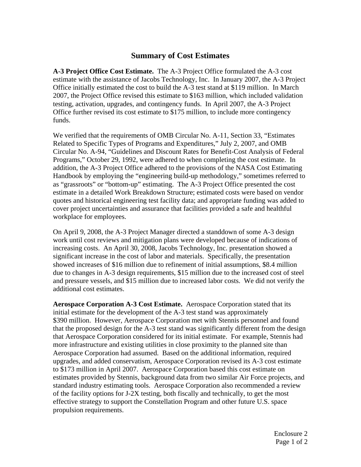# **Summary of Cost Estimates**

**A-3 Project Office Cost Estimate.** The A-3 Project Office formulated the A-3 cost estimate with the assistance of Jacobs Technology, Inc. In January 2007, the A-3 Project Office initially estimated the cost to build the A-3 test stand at \$119 million. In March 2007, the Project Office revised this estimate to \$163 million, which included validation testing, activation, upgrades, and contingency funds. In April 2007, the A-3 Project Office further revised its cost estimate to \$175 million, to include more contingency funds.

We verified that the requirements of OMB Circular No. A-11, Section 33, "Estimates Related to Specific Types of Programs and Expenditures," July 2, 2007, and OMB Circular No. A-94, "Guidelines and Discount Rates for Benefit-Cost Analysis of Federal Programs," October 29, 1992, were adhered to when completing the cost estimate. In addition, the A-3 Project Office adhered to the provisions of the NASA Cost Estimating Handbook by employing the "engineering build-up methodology," sometimes referred to as "grassroots" or "bottom-up" estimating. The A-3 Project Office presented the cost estimate in a detailed Work Breakdown Structure; estimated costs were based on vendor quotes and historical engineering test facility data; and appropriate funding was added to cover project uncertainties and assurance that facilities provided a safe and healthful workplace for employees.

On April 9, 2008, the A-3 Project Manager directed a standdown of some A-3 design work until cost reviews and mitigation plans were developed because of indications of increasing costs. An April 30, 2008, Jacobs Technology, Inc. presentation showed a significant increase in the cost of labor and materials. Specifically, the presentation showed increases of \$16 million due to refinement of initial assumptions, \$8.4 million due to changes in A-3 design requirements, \$15 million due to the increased cost of steel and pressure vessels, and \$15 million due to increased labor costs. We did not verify the additional cost estimates.

**Aerospace Corporation A-3 Cost Estimate.** Aerospace Corporation stated that its initial estimate for the development of the A-3 test stand was approximately \$390 million. However, Aerospace Corporation met with Stennis personnel and found that the proposed design for the A-3 test stand was significantly different from the design that Aerospace Corporation considered for its initial estimate. For example, Stennis had more infrastructure and existing utilities in close proximity to the planned site than Aerospace Corporation had assumed. Based on the additional information, required upgrades, and added conservatism, Aerospace Corporation revised its A-3 cost estimate to \$173 million in April 2007. Aerospace Corporation based this cost estimate on estimates provided by Stennis, background data from two similar Air Force projects, and standard industry estimating tools. Aerospace Corporation also recommended a review of the facility options for J-2X testing, both fiscally and technically, to get the most effective strategy to support the Constellation Program and other future U.S. space propulsion requirements.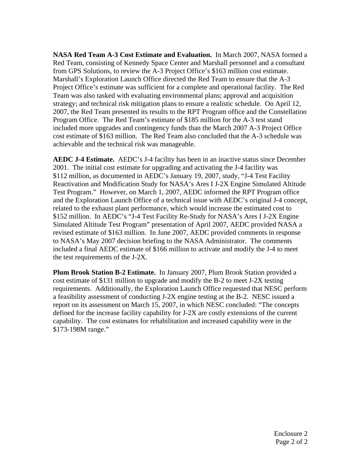**NASA Red Team A-3 Cost Estimate and Evaluation.** In March 2007, NASA formed a Red Team, consisting of Kennedy Space Center and Marshall personnel and a consultant from GPS Solutions, to review the A-3 Project Office's \$163 million cost estimate. Marshall's Exploration Launch Office directed the Red Team to ensure that the A-3 Project Office's estimate was sufficient for a complete and operational facility. The Red Team was also tasked with evaluating environmental plans; approval and acquisition strategy; and technical risk mitigation plans to ensure a realistic schedule. On April 12, 2007, the Red Team presented its results to the RPT Program office and the Constellation Program Office. The Red Team's estimate of \$185 million for the A-3 test stand included more upgrades and contingency funds than the March 2007 A-3 Project Office cost estimate of \$163 million. The Red Team also concluded that the A-3 schedule was achievable and the technical risk was manageable.

**AEDC J-4 Estimate.** AEDC's J-4 facility has been in an inactive status since December 2001. The initial cost estimate for upgrading and activating the J-4 facility was \$112 million, as documented in AEDC's January 19, 2007, study, "J-4 Test Facility Reactivation and Modification Study for NASA's Ares I J-2X Engine Simulated Altitude Test Program." However, on March 1, 2007, AEDC informed the RPT Program office and the Exploration Launch Office of a technical issue with AEDC's original J-4 concept, related to the exhaust plant performance, which would increase the estimated cost to \$152 million. In AEDC's "J-4 Test Facility Re-Study for NASA's Ares I J-2X Engine Simulated Altitude Test Program" presentation of April 2007, AEDC provided NASA a revised estimate of \$163 million. In June 2007, AEDC provided comments in response to NASA's May 2007 decision briefing to the NASA Administrator. The comments included a final AEDC estimate of \$166 million to activate and modify the J-4 to meet the test requirements of the J-2X.

**Plum Brook Station B-2 Estimate.** In January 2007, Plum Brook Station provided a cost estimate of \$131 million to upgrade and modify the B-2 to meet J-2X testing requirements. Additionally, the Exploration Launch Office requested that NESC perform a feasibility assessment of conducting J-2X engine testing at the B-2. NESC issued a report on its assessment on March 15, 2007, in which NESC concluded: "The concepts defined for the increase facility capability for J-2X are costly extensions of the current capability. The cost estimates for rehabilitation and increased capability were in the \$173-198M range."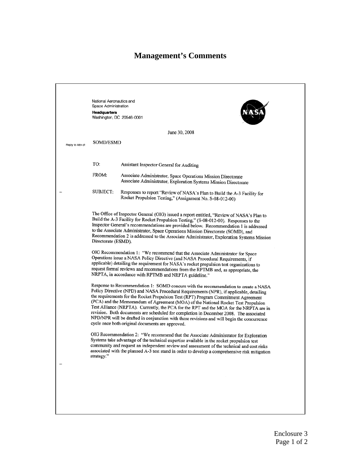# **Management's Comments**

|                   | National Aeronautics and<br>Space Administration<br><b>Headquarters</b><br>Washington, DC 20546-0001                                                                                                                                                                                                                                                                                                                                                                                                                                                                                                                                                                                                                                                                                                                                                                                                                                                                                                                          |                                                                                                                                                                                                                                                                                                                                                                                                                                                                                                                                                 |  |
|-------------------|-------------------------------------------------------------------------------------------------------------------------------------------------------------------------------------------------------------------------------------------------------------------------------------------------------------------------------------------------------------------------------------------------------------------------------------------------------------------------------------------------------------------------------------------------------------------------------------------------------------------------------------------------------------------------------------------------------------------------------------------------------------------------------------------------------------------------------------------------------------------------------------------------------------------------------------------------------------------------------------------------------------------------------|-------------------------------------------------------------------------------------------------------------------------------------------------------------------------------------------------------------------------------------------------------------------------------------------------------------------------------------------------------------------------------------------------------------------------------------------------------------------------------------------------------------------------------------------------|--|
|                   |                                                                                                                                                                                                                                                                                                                                                                                                                                                                                                                                                                                                                                                                                                                                                                                                                                                                                                                                                                                                                               | June 30, 2008                                                                                                                                                                                                                                                                                                                                                                                                                                                                                                                                   |  |
| Reply to Attn of: | <b>SOMD/ESMD</b>                                                                                                                                                                                                                                                                                                                                                                                                                                                                                                                                                                                                                                                                                                                                                                                                                                                                                                                                                                                                              |                                                                                                                                                                                                                                                                                                                                                                                                                                                                                                                                                 |  |
|                   |                                                                                                                                                                                                                                                                                                                                                                                                                                                                                                                                                                                                                                                                                                                                                                                                                                                                                                                                                                                                                               |                                                                                                                                                                                                                                                                                                                                                                                                                                                                                                                                                 |  |
|                   | TO:                                                                                                                                                                                                                                                                                                                                                                                                                                                                                                                                                                                                                                                                                                                                                                                                                                                                                                                                                                                                                           | Assistant Inspector General for Auditing                                                                                                                                                                                                                                                                                                                                                                                                                                                                                                        |  |
|                   | FROM:                                                                                                                                                                                                                                                                                                                                                                                                                                                                                                                                                                                                                                                                                                                                                                                                                                                                                                                                                                                                                         | Associate Administrator, Space Operations Mission Directorate<br>Associate Administrator, Exploration Systems Mission Directorate                                                                                                                                                                                                                                                                                                                                                                                                               |  |
|                   | SUBJECT:                                                                                                                                                                                                                                                                                                                                                                                                                                                                                                                                                                                                                                                                                                                                                                                                                                                                                                                                                                                                                      | Responses to report "Review of NASA's Plan to Build the A-3 Facility for<br>Rocket Propulsion Testing," (Assignment No. S-08-012-00)                                                                                                                                                                                                                                                                                                                                                                                                            |  |
|                   | Directorate (ESMD).                                                                                                                                                                                                                                                                                                                                                                                                                                                                                                                                                                                                                                                                                                                                                                                                                                                                                                                                                                                                           | The Office of Inspector General (OIG) issued a report entitled, "Review of NASA's Plan to<br>Build the A-3 Facility for Rocket Propulsion Testing," (S-08-012-00). Responses to the<br>Inspector General's recommendations are provided below. Recommendation 1 is addressed<br>to the Associate Administrator, Space Operations Mission Directorate (SOMD), and<br>Recommendation 2 is addressed to the Associate Administrator, Exploration Systems Mission<br>OIG Recommendation 1: "We recommend that the Associate Administrator for Space |  |
|                   | Operations issue a NASA Policy Directive (and NASA Procedural Requirements, if<br>applicable) detailing the requirement for NASA's rocket propulsion test organizations to<br>request formal reviews and recommendations from the RPTMB and, as appropriate, the<br>NRPTA, in accordance with RPTMB and NRPTA guideline."<br>Response to Recommendation 1: SOMD concurs with the recommendation to create a NASA<br>Policy Directive (NPD) and NASA Procedural Requirements (NPR), if applicable, detailing<br>the requirements for the Rocket Propulsion Test (RPT) Program Commitment Agreement<br>(PCA) and the Memorandum of Agreement (MOA) of the National Rocket Test Propulsion<br>Test Alliance (NRPTA). Currently, the PCA for the RPT and the MOA for the NRPTA are in<br>revision. Both documents are scheduled for completion in December 2008. The associated<br>NPD/NPR will be drafted in conjunction with these revisions and will begin the concurrence<br>cycle once both original documents are approved. |                                                                                                                                                                                                                                                                                                                                                                                                                                                                                                                                                 |  |
|                   |                                                                                                                                                                                                                                                                                                                                                                                                                                                                                                                                                                                                                                                                                                                                                                                                                                                                                                                                                                                                                               |                                                                                                                                                                                                                                                                                                                                                                                                                                                                                                                                                 |  |
|                   | strategy."                                                                                                                                                                                                                                                                                                                                                                                                                                                                                                                                                                                                                                                                                                                                                                                                                                                                                                                                                                                                                    | OIG Recommendation 2: "We recommend that the Associate Administrator for Exploration<br>Systems take advantage of the technical expertise available in the rocket propulsion test<br>community and request an independent review and assessment of the technical and cost risks<br>associated with the planned A-3 test stand in order to develop a comprehensive risk mitigation                                                                                                                                                               |  |
|                   |                                                                                                                                                                                                                                                                                                                                                                                                                                                                                                                                                                                                                                                                                                                                                                                                                                                                                                                                                                                                                               |                                                                                                                                                                                                                                                                                                                                                                                                                                                                                                                                                 |  |